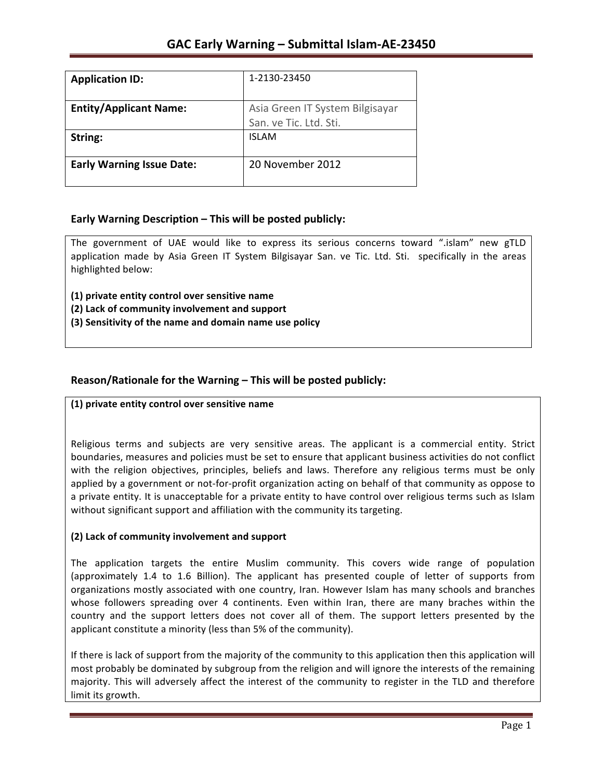| <b>Application ID:</b>           | 1-2130-23450                                              |
|----------------------------------|-----------------------------------------------------------|
| <b>Entity/Applicant Name:</b>    | Asia Green IT System Bilgisayar<br>San. ve Tic. Ltd. Sti. |
| String:                          | <b>ISLAM</b>                                              |
| <b>Early Warning Issue Date:</b> | 20 November 2012                                          |

## **Early Warning Description – This will be posted publicly:**

The government of UAE would like to express its serious concerns toward ".islam" new gTLD application made by Asia Green IT System Bilgisayar San. ve Tic. Ltd. Sti. specifically in the areas highlighted below:

**(1) private entity control over sensitive name (2) Lack of community involvement and support (3) Sensitivity of the name and domain name use policy** 

## **Reason/Rationale for the Warning – This will be posted publicly:**

### **(1) private entity control over sensitive name**

Religious terms and subjects are very sensitive areas. The applicant is a commercial entity. Strict boundaries, measures and policies must be set to ensure that applicant business activities do not conflict with the religion objectives, principles, beliefs and laws. Therefore any religious terms must be only applied by a government or not-for-profit organization acting on behalf of that community as oppose to a private entity. It is unacceptable for a private entity to have control over religious terms such as Islam without significant support and affiliation with the community its targeting.

### **(2) Lack of community involvement and support**

The application targets the entire Muslim community. This covers wide range of population (approximately 1.4 to 1.6 Billion). The applicant has presented couple of letter of supports from organizations mostly associated with one country, Iran. However Islam has many schools and branches whose followers spreading over 4 continents. Even within Iran, there are many braches within the country and the support letters does not cover all of them. The support letters presented by the applicant constitute a minority (less than 5% of the community).

If there is lack of support from the majority of the community to this application then this application will most probably be dominated by subgroup from the religion and will ignore the interests of the remaining majority. This will adversely affect the interest of the community to register in the TLD and therefore limit its growth.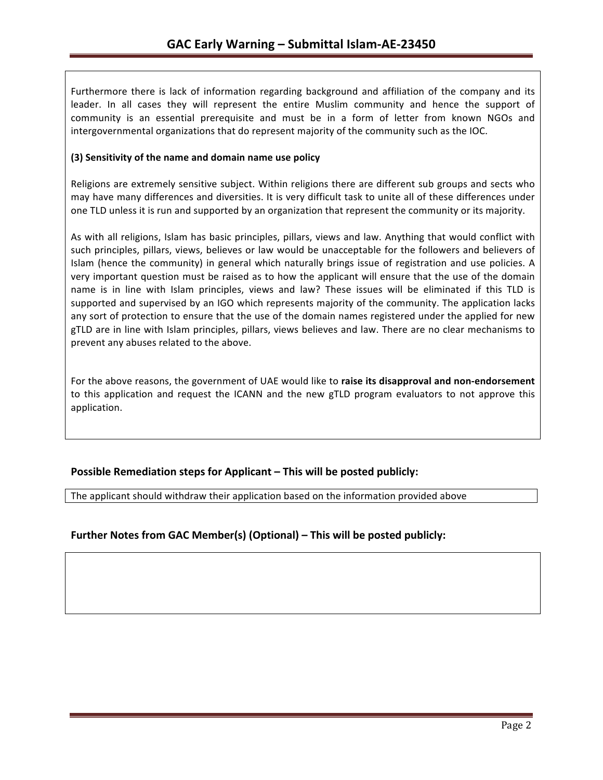Furthermore there is lack of information regarding background and affiliation of the company and its leader. In all cases they will represent the entire Muslim community and hence the support of community is an essential prerequisite and must be in a form of letter from known NGOs and intergovernmental organizations that do represent majority of the community such as the IOC.

## **(3) Sensitivity of the name and domain name use policy**

Religions are extremely sensitive subject. Within religions there are different sub groups and sects who may have many differences and diversities. It is very difficult task to unite all of these differences under one TLD unless it is run and supported by an organization that represent the community or its majority.

As with all religions, Islam has basic principles, pillars, views and law. Anything that would conflict with such principles, pillars, views, believes or law would be unacceptable for the followers and believers of Islam (hence the community) in general which naturally brings issue of registration and use policies. A very important question must be raised as to how the applicant will ensure that the use of the domain name is in line with Islam principles, views and law? These issues will be eliminated if this TLD is supported and supervised by an IGO which represents majority of the community. The application lacks any sort of protection to ensure that the use of the domain names registered under the applied for new gTLD are in line with Islam principles, pillars, views believes and law. There are no clear mechanisms to prevent any abuses related to the above.

For the above reasons, the government of UAE would like to **raise its disapproval and non-endorsement** to this application and request the ICANN and the new gTLD program evaluators to not approve this application.

## **Possible Remediation steps for Applicant – This will be posted publicly:**

The applicant should withdraw their application based on the information provided above

## **Further Notes from GAC Member(s) (Optional) – This will be posted publicly:**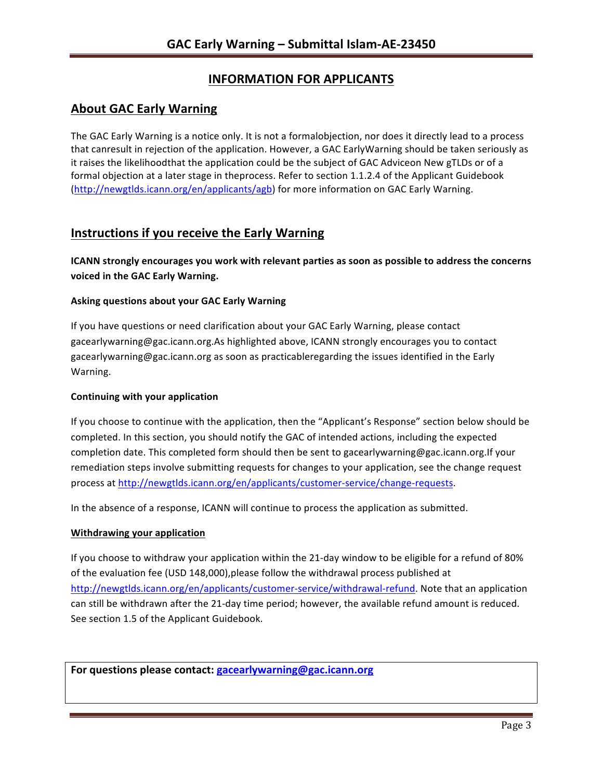# **INFORMATION FOR APPLICANTS**

## **About GAC Early Warning**

The GAC Early Warning is a notice only. It is not a formalobjection, nor does it directly lead to a process that canresult in rejection of the application. However, a GAC EarlyWarning should be taken seriously as it raises the likelihoodthat the application could be the subject of GAC Adviceon New gTLDs or of a formal objection at a later stage in theprocess. Refer to section 1.1.2.4 of the Applicant Guidebook (http://newgtlds.icann.org/en/applicants/agb) for more information on GAC Early Warning.

# **Instructions if you receive the Early Warning**

**ICANN** strongly encourages you work with relevant parties as soon as possible to address the concerns **voiced in the GAC Early Warning.** 

### **Asking questions about your GAC Early Warning**

If you have questions or need clarification about your GAC Early Warning, please contact gacearlywarning@gac.icann.org.As highlighted above, ICANN strongly encourages you to contact gacearlywarning@gac.icann.org as soon as practicableregarding the issues identified in the Early Warning. 

### **Continuing with your application**

If you choose to continue with the application, then the "Applicant's Response" section below should be completed. In this section, you should notify the GAC of intended actions, including the expected completion date. This completed form should then be sent to gacearlywarning@gac.icann.org.If your remediation steps involve submitting requests for changes to your application, see the change request process at http://newgtlds.icann.org/en/applicants/customer-service/change-requests.

In the absence of a response, ICANN will continue to process the application as submitted.

### **Withdrawing your application**

If you choose to withdraw your application within the 21-day window to be eligible for a refund of 80% of the evaluation fee (USD 148,000),please follow the withdrawal process published at http://newgtlds.icann.org/en/applicants/customer-service/withdrawal-refund. Note that an application can still be withdrawn after the 21-day time period; however, the available refund amount is reduced. See section 1.5 of the Applicant Guidebook.

For questions please contact: gacearlywarning@gac.icann.org